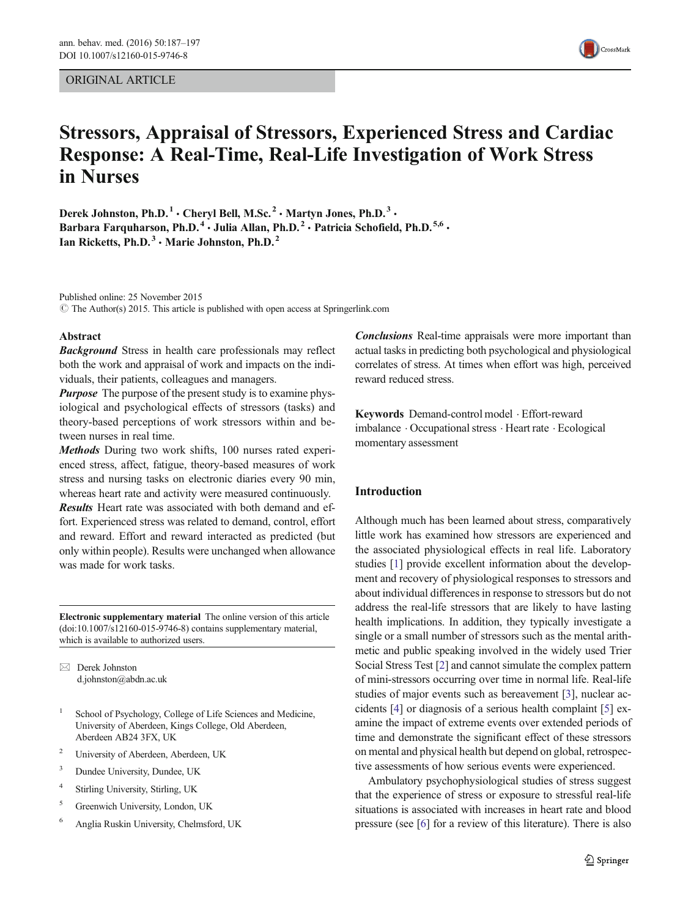ORIGINAL ARTICLE



# Stressors, Appraisal of Stressors, Experienced Stress and Cardiac Response: A Real-Time, Real-Life Investigation of Work Stress in Nurses

Derek Johnston, Ph.D.<sup>1</sup> · Cheryl Bell, M.Sc.<sup>2</sup> · Martyn Jones, Ph.D.<sup>3</sup> · Barbara Farquharson, Ph.D.<sup>4</sup>  $\cdot$  Julia Allan, Ph.D.<sup>2</sup>  $\cdot$  Patricia Schofield, Ph.D.<sup>5,6</sup>  $\cdot$ Ian Ricketts, Ph.D.<sup>3</sup>  $\cdot$  Marie Johnston, Ph.D.<sup>2</sup>

Published online: 25 November 2015

 $\odot$  The Author(s) 2015. This article is published with open access at Springerlink.com

#### Abstract

Background Stress in health care professionals may reflect both the work and appraisal of work and impacts on the individuals, their patients, colleagues and managers.

**Purpose** The purpose of the present study is to examine physiological and psychological effects of stressors (tasks) and theory-based perceptions of work stressors within and between nurses in real time.

Methods During two work shifts, 100 nurses rated experienced stress, affect, fatigue, theory-based measures of work stress and nursing tasks on electronic diaries every 90 min, whereas heart rate and activity were measured continuously.

Results Heart rate was associated with both demand and effort. Experienced stress was related to demand, control, effort and reward. Effort and reward interacted as predicted (but only within people). Results were unchanged when allowance was made for work tasks.

Electronic supplementary material The online version of this article (doi[:10.1007/s12160-015-9746-8](http://dx.doi.org/10.1007/s12160-015-9746-8)) contains supplementary material, which is available to authorized users.

 $\boxtimes$  Derek Johnston d.johnston@abdn.ac.uk

- <sup>1</sup> School of Psychology, College of Life Sciences and Medicine, University of Aberdeen, Kings College, Old Aberdeen, Aberdeen AB24 3FX, UK
- <sup>2</sup> University of Aberdeen, Aberdeen, UK
- <sup>3</sup> Dundee University, Dundee, UK
- <sup>4</sup> Stirling University, Stirling, UK
- <sup>5</sup> Greenwich University, London, UK
- <sup>6</sup> Anglia Ruskin University, Chelmsford, UK

Conclusions Real-time appraisals were more important than actual tasks in predicting both psychological and physiological correlates of stress. At times when effort was high, perceived reward reduced stress.

Keywords Demand-control model . Effort-reward imbalance . Occupational stress . Heart rate . Ecological momentary assessment

## Introduction

Although much has been learned about stress, comparatively little work has examined how stressors are experienced and the associated physiological effects in real life. Laboratory studies [\[1](#page-10-0)] provide excellent information about the development and recovery of physiological responses to stressors and about individual differences in response to stressors but do not address the real-life stressors that are likely to have lasting health implications. In addition, they typically investigate a single or a small number of stressors such as the mental arithmetic and public speaking involved in the widely used Trier Social Stress Test [[2\]](#page-10-0) and cannot simulate the complex pattern of mini-stressors occurring over time in normal life. Real-life studies of major events such as bereavement [[3\]](#page-10-0), nuclear accidents [[4](#page-10-0)] or diagnosis of a serious health complaint [[5\]](#page-10-0) examine the impact of extreme events over extended periods of time and demonstrate the significant effect of these stressors on mental and physical health but depend on global, retrospective assessments of how serious events were experienced.

Ambulatory psychophysiological studies of stress suggest that the experience of stress or exposure to stressful real-life situations is associated with increases in heart rate and blood pressure (see [\[6](#page-10-0)] for a review of this literature). There is also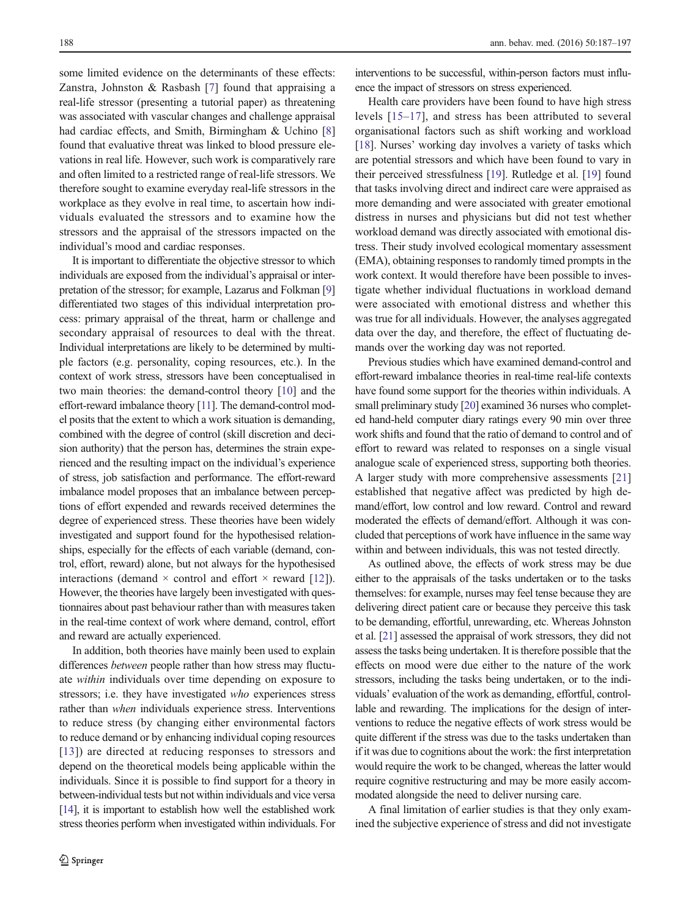some limited evidence on the determinants of these effects: Zanstra, Johnston & Rasbash [[7](#page-10-0)] found that appraising a real-life stressor (presenting a tutorial paper) as threatening was associated with vascular changes and challenge appraisal had cardiac effects, and Smith, Birmingham & Uchino [\[8\]](#page-10-0) found that evaluative threat was linked to blood pressure elevations in real life. However, such work is comparatively rare and often limited to a restricted range of real-life stressors. We therefore sought to examine everyday real-life stressors in the workplace as they evolve in real time, to ascertain how individuals evaluated the stressors and to examine how the stressors and the appraisal of the stressors impacted on the individual's mood and cardiac responses.

It is important to differentiate the objective stressor to which individuals are exposed from the individual's appraisal or interpretation of the stressor; for example, Lazarus and Folkman [\[9\]](#page-10-0) differentiated two stages of this individual interpretation process: primary appraisal of the threat, harm or challenge and secondary appraisal of resources to deal with the threat. Individual interpretations are likely to be determined by multiple factors (e.g. personality, coping resources, etc.). In the context of work stress, stressors have been conceptualised in two main theories: the demand-control theory [[10](#page-10-0)] and the effort-reward imbalance theory [\[11](#page-10-0)]. The demand-control model posits that the extent to which a work situation is demanding, combined with the degree of control (skill discretion and decision authority) that the person has, determines the strain experienced and the resulting impact on the individual's experience of stress, job satisfaction and performance. The effort-reward imbalance model proposes that an imbalance between perceptions of effort expended and rewards received determines the degree of experienced stress. These theories have been widely investigated and support found for the hypothesised relationships, especially for the effects of each variable (demand, control, effort, reward) alone, but not always for the hypothesised interactions (demand  $\times$  control and effort  $\times$  reward [\[12](#page-10-0)]). However, the theories have largely been investigated with questionnaires about past behaviour rather than with measures taken in the real-time context of work where demand, control, effort and reward are actually experienced.

In addition, both theories have mainly been used to explain differences between people rather than how stress may fluctuate within individuals over time depending on exposure to stressors; i.e. they have investigated who experiences stress rather than *when* individuals experience stress. Interventions to reduce stress (by changing either environmental factors to reduce demand or by enhancing individual coping resources [\[13\]](#page-10-0)) are directed at reducing responses to stressors and depend on the theoretical models being applicable within the individuals. Since it is possible to find support for a theory in between-individual tests but not within individuals and vice versa [\[14](#page-10-0)], it is important to establish how well the established work stress theories perform when investigated within individuals. For

interventions to be successful, within-person factors must influence the impact of stressors on stress experienced.

Health care providers have been found to have high stress levels [\[15](#page-10-0)–[17](#page-10-0)], and stress has been attributed to several organisational factors such as shift working and workload [\[18](#page-10-0)]. Nurses' working day involves a variety of tasks which are potential stressors and which have been found to vary in their perceived stressfulness [[19](#page-10-0)]. Rutledge et al. [\[19](#page-10-0)] found that tasks involving direct and indirect care were appraised as more demanding and were associated with greater emotional distress in nurses and physicians but did not test whether workload demand was directly associated with emotional distress. Their study involved ecological momentary assessment (EMA), obtaining responses to randomly timed prompts in the work context. It would therefore have been possible to investigate whether individual fluctuations in workload demand were associated with emotional distress and whether this was true for all individuals. However, the analyses aggregated data over the day, and therefore, the effect of fluctuating demands over the working day was not reported.

Previous studies which have examined demand-control and effort-reward imbalance theories in real-time real-life contexts have found some support for the theories within individuals. A small preliminary study [\[20\]](#page-10-0) examined 36 nurses who completed hand-held computer diary ratings every 90 min over three work shifts and found that the ratio of demand to control and of effort to reward was related to responses on a single visual analogue scale of experienced stress, supporting both theories. A larger study with more comprehensive assessments [\[21](#page-10-0)] established that negative affect was predicted by high demand/effort, low control and low reward. Control and reward moderated the effects of demand/effort. Although it was concluded that perceptions of work have influence in the same way within and between individuals, this was not tested directly.

As outlined above, the effects of work stress may be due either to the appraisals of the tasks undertaken or to the tasks themselves: for example, nurses may feel tense because they are delivering direct patient care or because they perceive this task to be demanding, effortful, unrewarding, etc. Whereas Johnston et al. [\[21](#page-10-0)] assessed the appraisal of work stressors, they did not assess the tasks being undertaken. It is therefore possible that the effects on mood were due either to the nature of the work stressors, including the tasks being undertaken, or to the individuals' evaluation of the work as demanding, effortful, controllable and rewarding. The implications for the design of interventions to reduce the negative effects of work stress would be quite different if the stress was due to the tasks undertaken than if it was due to cognitions about the work: the first interpretation would require the work to be changed, whereas the latter would require cognitive restructuring and may be more easily accommodated alongside the need to deliver nursing care.

A final limitation of earlier studies is that they only examined the subjective experience of stress and did not investigate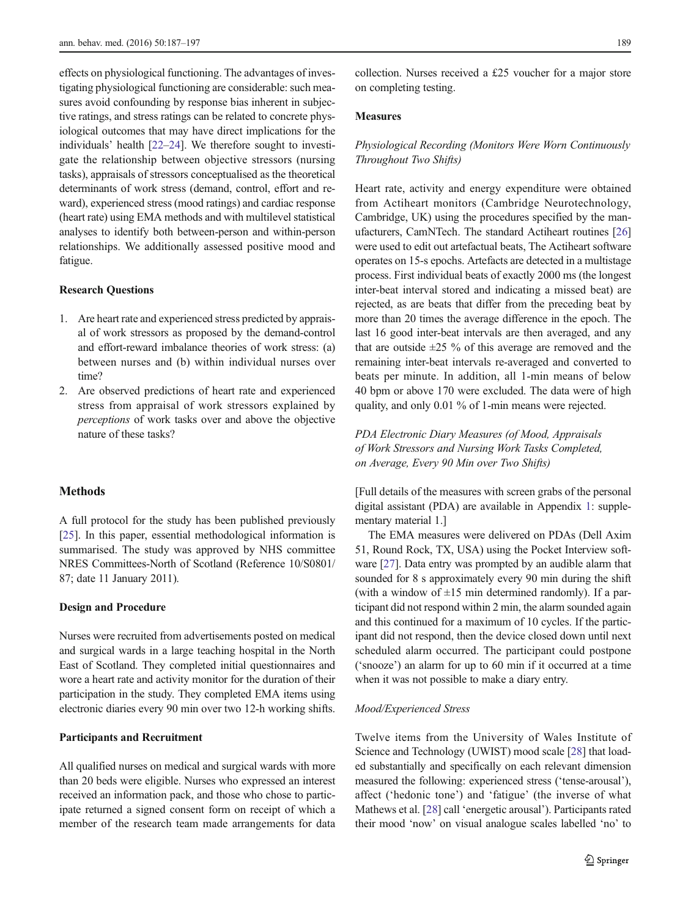effects on physiological functioning. The advantages of investigating physiological functioning are considerable: such measures avoid confounding by response bias inherent in subjective ratings, and stress ratings can be related to concrete physiological outcomes that may have direct implications for the individuals' health [\[22](#page-10-0)–[24\]](#page-10-0). We therefore sought to investigate the relationship between objective stressors (nursing tasks), appraisals of stressors conceptualised as the theoretical determinants of work stress (demand, control, effort and reward), experienced stress (mood ratings) and cardiac response (heart rate) using EMA methods and with multilevel statistical analyses to identify both between-person and within-person relationships. We additionally assessed positive mood and fatigue.

#### Research Questions

- 1. Are heart rate and experienced stress predicted by appraisal of work stressors as proposed by the demand-control and effort-reward imbalance theories of work stress: (a) between nurses and (b) within individual nurses over time?
- 2. Are observed predictions of heart rate and experienced stress from appraisal of work stressors explained by perceptions of work tasks over and above the objective nature of these tasks?

#### Methods

A full protocol for the study has been published previously [\[25](#page-10-0)]. In this paper, essential methodological information is summarised. The study was approved by NHS committee NRES Committees-North of Scotland (Reference 10/S0801/ 87; date 11 January 2011).

#### Design and Procedure

Nurses were recruited from advertisements posted on medical and surgical wards in a large teaching hospital in the North East of Scotland. They completed initial questionnaires and wore a heart rate and activity monitor for the duration of their participation in the study. They completed EMA items using electronic diaries every 90 min over two 12-h working shifts.

#### Participants and Recruitment

All qualified nurses on medical and surgical wards with more than 20 beds were eligible. Nurses who expressed an interest received an information pack, and those who chose to participate returned a signed consent form on receipt of which a member of the research team made arrangements for data collection. Nurses received a £25 voucher for a major store on completing testing.

#### Measures

### Physiological Recording (Monitors Were Worn Continuously Throughout Two Shifts)

Heart rate, activity and energy expenditure were obtained from Actiheart monitors (Cambridge Neurotechnology, Cambridge, UK) using the procedures specified by the manufacturers, CamNTech. The standard Actiheart routines [\[26](#page-10-0)] were used to edit out artefactual beats, The Actiheart software operates on 15-s epochs. Artefacts are detected in a multistage process. First individual beats of exactly 2000 ms (the longest inter-beat interval stored and indicating a missed beat) are rejected, as are beats that differ from the preceding beat by more than 20 times the average difference in the epoch. The last 16 good inter-beat intervals are then averaged, and any that are outside  $\pm 25$  % of this average are removed and the remaining inter-beat intervals re-averaged and converted to beats per minute. In addition, all 1-min means of below 40 bpm or above 170 were excluded. The data were of high quality, and only 0.01 % of 1-min means were rejected.

PDA Electronic Diary Measures (of Mood, Appraisals of Work Stressors and Nursing Work Tasks Completed, on Average, Every 90 Min over Two Shifts)

[Full details of the measures with screen grabs of the personal digital assistant (PDA) are available in Appendix 1: supplementary material 1.]

The EMA measures were delivered on PDAs (Dell Axim 51, Round Rock, TX, USA) using the Pocket Interview software [[27](#page-10-0)]. Data entry was prompted by an audible alarm that sounded for 8 s approximately every 90 min during the shift (with a window of  $\pm 15$  min determined randomly). If a participant did not respond within 2 min, the alarm sounded again and this continued for a maximum of 10 cycles. If the participant did not respond, then the device closed down until next scheduled alarm occurred. The participant could postpone ('snooze') an alarm for up to 60 min if it occurred at a time when it was not possible to make a diary entry.

#### Mood/Experienced Stress

Twelve items from the University of Wales Institute of Science and Technology (UWIST) mood scale [\[28](#page-10-0)] that loaded substantially and specifically on each relevant dimension measured the following: experienced stress ('tense-arousal'), affect ('hedonic tone') and 'fatigue' (the inverse of what Mathews et al. [[28](#page-10-0)] call 'energetic arousal'). Participants rated their mood 'now' on visual analogue scales labelled 'no' to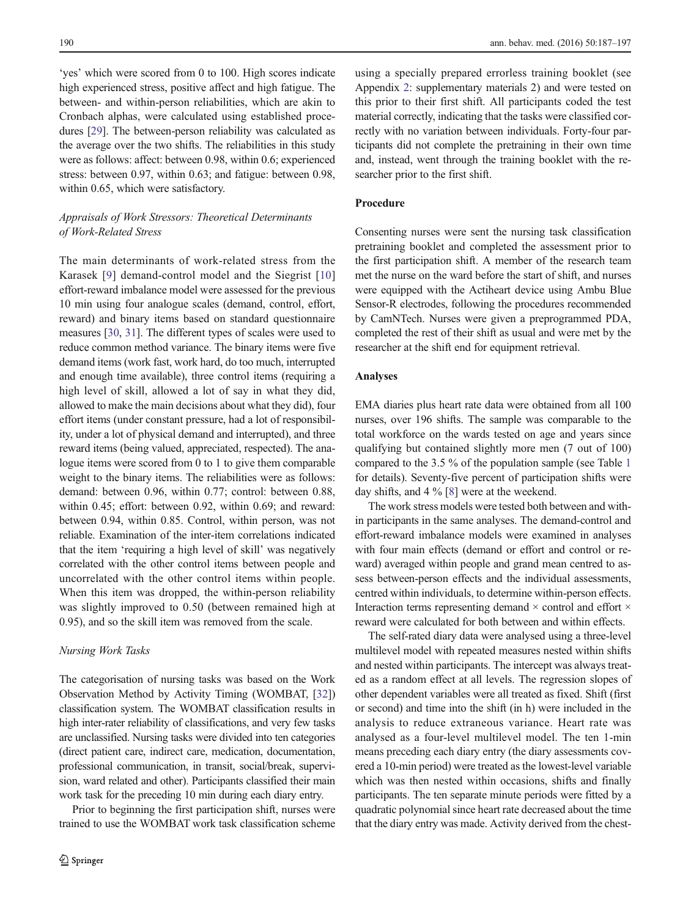'yes' which were scored from 0 to 100. High scores indicate high experienced stress, positive affect and high fatigue. The between- and within-person reliabilities, which are akin to Cronbach alphas, were calculated using established procedures [\[29](#page-10-0)]. The between-person reliability was calculated as the average over the two shifts. The reliabilities in this study were as follows: affect: between 0.98, within 0.6; experienced stress: between 0.97, within 0.63; and fatigue: between 0.98, within 0.65, which were satisfactory.

## Appraisals of Work Stressors: Theoretical Determinants of Work-Related Stress

The main determinants of work-related stress from the Karasek [[9\]](#page-10-0) demand-control model and the Siegrist [[10\]](#page-10-0) effort-reward imbalance model were assessed for the previous 10 min using four analogue scales (demand, control, effort, reward) and binary items based on standard questionnaire measures [[30,](#page-10-0) [31\]](#page-10-0). The different types of scales were used to reduce common method variance. The binary items were five demand items (work fast, work hard, do too much, interrupted and enough time available), three control items (requiring a high level of skill, allowed a lot of say in what they did, allowed to make the main decisions about what they did), four effort items (under constant pressure, had a lot of responsibility, under a lot of physical demand and interrupted), and three reward items (being valued, appreciated, respected). The analogue items were scored from 0 to 1 to give them comparable weight to the binary items. The reliabilities were as follows: demand: between 0.96, within 0.77; control: between 0.88, within 0.45; effort: between 0.92, within 0.69; and reward: between 0.94, within 0.85. Control, within person, was not reliable. Examination of the inter-item correlations indicated that the item 'requiring a high level of skill' was negatively correlated with the other control items between people and uncorrelated with the other control items within people. When this item was dropped, the within-person reliability was slightly improved to 0.50 (between remained high at 0.95), and so the skill item was removed from the scale.

#### Nursing Work Tasks

The categorisation of nursing tasks was based on the Work Observation Method by Activity Timing (WOMBAT, [[32\]](#page-10-0)) classification system. The WOMBAT classification results in high inter-rater reliability of classifications, and very few tasks are unclassified. Nursing tasks were divided into ten categories (direct patient care, indirect care, medication, documentation, professional communication, in transit, social/break, supervision, ward related and other). Participants classified their main work task for the preceding 10 min during each diary entry.

Prior to beginning the first participation shift, nurses were trained to use the WOMBAT work task classification scheme using a specially prepared errorless training booklet (see Appendix 2: supplementary materials 2) and were tested on this prior to their first shift. All participants coded the test material correctly, indicating that the tasks were classified correctly with no variation between individuals. Forty-four participants did not complete the pretraining in their own time and, instead, went through the training booklet with the researcher prior to the first shift.

### Procedure

Consenting nurses were sent the nursing task classification pretraining booklet and completed the assessment prior to the first participation shift. A member of the research team met the nurse on the ward before the start of shift, and nurses were equipped with the Actiheart device using Ambu Blue Sensor-R electrodes, following the procedures recommended by CamNTech. Nurses were given a preprogrammed PDA, completed the rest of their shift as usual and were met by the researcher at the shift end for equipment retrieval.

#### Analyses

EMA diaries plus heart rate data were obtained from all 100 nurses, over 196 shifts. The sample was comparable to the total workforce on the wards tested on age and years since qualifying but contained slightly more men (7 out of 100) compared to the 3.5 % of the population sample (see Table [1](#page-4-0) for details). Seventy-five percent of participation shifts were day shifts, and 4 % [\[8\]](#page-10-0) were at the weekend.

The work stress models were tested both between and within participants in the same analyses. The demand-control and effort-reward imbalance models were examined in analyses with four main effects (demand or effort and control or reward) averaged within people and grand mean centred to assess between-person effects and the individual assessments, centred within individuals, to determine within-person effects. Interaction terms representing demand  $\times$  control and effort  $\times$ reward were calculated for both between and within effects.

The self-rated diary data were analysed using a three-level multilevel model with repeated measures nested within shifts and nested within participants. The intercept was always treated as a random effect at all levels. The regression slopes of other dependent variables were all treated as fixed. Shift (first or second) and time into the shift (in h) were included in the analysis to reduce extraneous variance. Heart rate was analysed as a four-level multilevel model. The ten 1-min means preceding each diary entry (the diary assessments covered a 10-min period) were treated as the lowest-level variable which was then nested within occasions, shifts and finally participants. The ten separate minute periods were fitted by a quadratic polynomial since heart rate decreased about the time that the diary entry was made. Activity derived from the chest-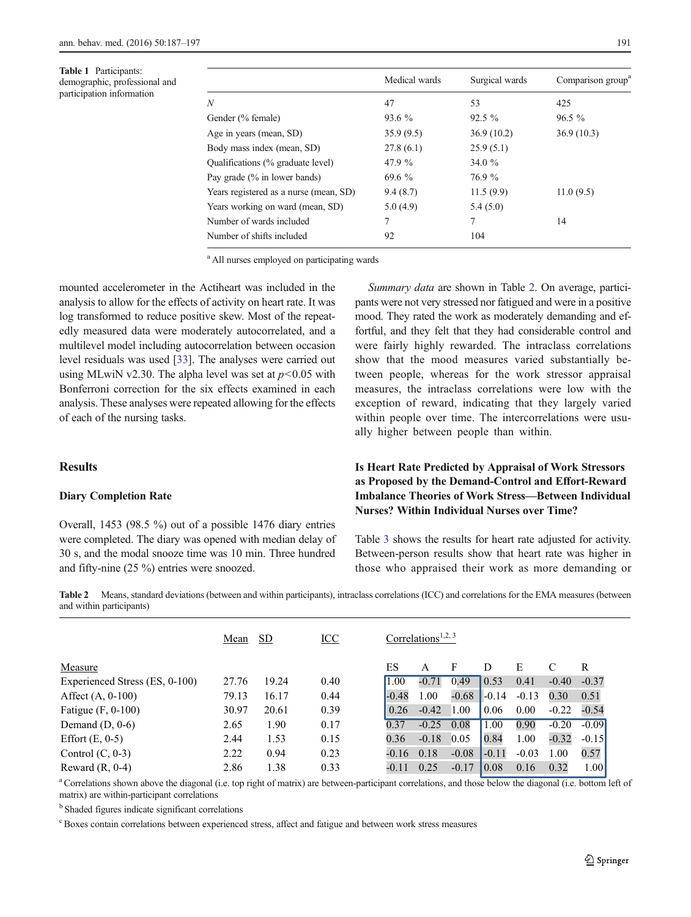<span id="page-4-0"></span>Table 1 Participants: demographic, professional and participation information

|                                        | Medical wards | Surgical wards | Comparison group <sup>a</sup> |
|----------------------------------------|---------------|----------------|-------------------------------|
| N                                      | 47            | 53             | 425                           |
| Gender (% female)                      | 93.6 %        | $92.5 \%$      | $96.5\%$                      |
| Age in years (mean, SD)                | 35.9(9.5)     | 36.9(10.2)     | 36.9(10.3)                    |
| Body mass index (mean, SD)             | 27.8(6.1)     | 25.9(5.1)      |                               |
| Qualifications (% graduate level)      | 47.9 %        | 34.0 $%$       |                               |
| Pay grade $(\%$ in lower bands)        | 69.6 %        | 76.9 %         |                               |
| Years registered as a nurse (mean, SD) | 9.4(8.7)      | 11.5(9.9)      | 11.0(9.5)                     |
| Years working on ward (mean, SD)       | 5.0(4.9)      | 5.4(5.0)       |                               |
| Number of wards included               | 7             | 7              | 14                            |
| Number of shifts included              | 92            | 104            |                               |
|                                        |               |                |                               |

<sup>a</sup> All nurses employed on participating wards

mounted accelerometer in the Actiheart was included in the analysis to allow for the effects of activity on heart rate. It was log transformed to reduce positive skew. Most of the repeatedly measured data were moderately autocorrelated, and a multilevel model including autocorrelation between occasion level residuals was used [\[33](#page-10-0)]. The analyses were carried out using MLwiN v2.30. The alpha level was set at  $p<0.05$  with Bonferroni correction for the six effects examined in each analysis. These analyses were repeated allowing for the effects of each of the nursing tasks.

# Results

#### Diary Completion Rate

Overall, 1453 (98.5 %) out of a possible 1476 diary entries were completed. The diary was opened with median delay of 30 s, and the modal snooze time was 10 min. Three hundred and fifty-nine (25 %) entries were snoozed.

Summary data are shown in Table 2. On average, participants were not very stressed nor fatigued and were in a positive mood. They rated the work as moderately demanding and effortful, and they felt that they had considerable control and were fairly highly rewarded. The intraclass correlations show that the mood measures varied substantially between people, whereas for the work stressor appraisal measures, the intraclass correlations were low with the exception of reward, indicating that they largely varied within people over time. The intercorrelations were usually higher between people than within.

# Is Heart Rate Predicted by Appraisal of Work Stressors as Proposed by the Demand-Control and Effort-Reward Imbalance Theories of Work Stress—Between Individual Nurses? Within Individual Nurses over Time?

Table [3](#page-5-0) shows the results for heart rate adjusted for activity. Between-person results show that heart rate was higher in those who appraised their work as more demanding or

Table 2 Means, standard deviations (between and within participants), intraclass correlations (ICC) and correlations for the EMA measures (between and within participants)

|                                | Mean  | <b>SD</b> | <b>ICC</b> |         | Correlations <sup>1,2, 3</sup> |         |         |         |         |         |
|--------------------------------|-------|-----------|------------|---------|--------------------------------|---------|---------|---------|---------|---------|
| Measure                        |       |           |            | ES      | A                              | F       | D       | E       |         | R       |
| Experienced Stress (ES, 0-100) | 27.76 | 19.24     | 0.40       | 1.00    | $-0.71$                        | 0.49    | 0.53    | 0.41    | $-0.40$ | $-0.37$ |
| Affect $(A, 0-100)$            | 79.13 | 16.17     | 0.44       | $-0.48$ | 1.00                           | $-0.68$ | $-0.14$ | $-0.13$ | 0.30    | 0.51    |
| Fatigue $(F, 0-100)$           | 30.97 | 20.61     | 0.39       | 0.26    | $-0.42$                        | 1.00    | 0.06    | 0.00    | $-0.22$ | $-0.54$ |
| Demand $(D, 0-6)$              | 2.65  | 1.90      | 0.17       | 0.37    | $-0.25$                        | 0.08    | 1.00    | 0.90    | $-0.20$ | $-0.09$ |
| Effort $(E, 0-5)$              | 2.44  | 1.53      | 0.15       | 0.36    | $-0.18$                        | 0.05    | 0.84    | 1.00    | $-0.32$ | $-0.15$ |
| Control $(C, 0-3)$             | 2.22  | 0.94      | 0.23       | $-0.16$ | 0.18                           | $-0.08$ | $-0.11$ | $-0.03$ | L.00    | 0.57    |
| Reward $(R, 0-4)$              | 2.86  | 1.38      | 0.33       | $-0.11$ | 0.25                           | $-0.17$ | 0.08    | 0.16    | 0.32    | 1.00    |

<sup>a</sup> Correlations shown above the diagonal (i.e. top right of matrix) are between-participant correlations, and those below the diagonal (i.e. bottom left of matrix) are within-participant correlations

<sup>b</sup> Shaded figures indicate significant correlations

c Boxes contain correlations between experienced stress, affect and fatigue and between work stress measures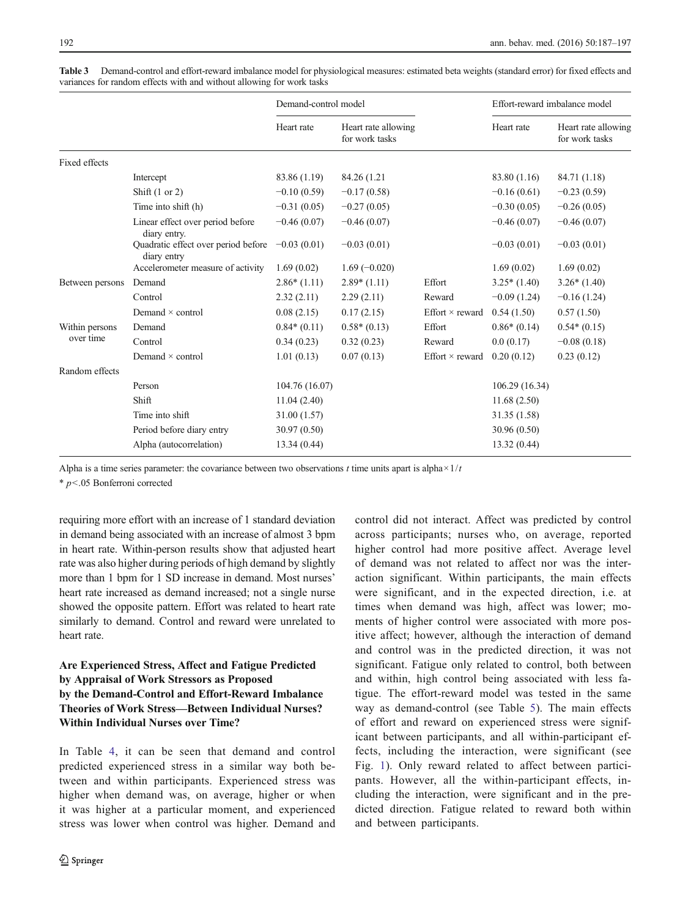|                 |                                                    | Demand-control model |                                       |                        | Effort-reward imbalance model |                                       |
|-----------------|----------------------------------------------------|----------------------|---------------------------------------|------------------------|-------------------------------|---------------------------------------|
|                 |                                                    | Heart rate           | Heart rate allowing<br>for work tasks |                        | Heart rate                    | Heart rate allowing<br>for work tasks |
| Fixed effects   |                                                    |                      |                                       |                        |                               |                                       |
|                 | Intercept                                          | 83.86 (1.19)         | 84.26 (1.21)                          |                        | 83.80 (1.16)                  | 84.71 (1.18)                          |
|                 | Shift $(1 \text{ or } 2)$                          | $-0.10(0.59)$        | $-0.17(0.58)$                         |                        | $-0.16(0.61)$                 | $-0.23(0.59)$                         |
|                 | Time into shift (h)                                | $-0.31(0.05)$        | $-0.27(0.05)$                         |                        | $-0.30(0.05)$                 | $-0.26(0.05)$                         |
|                 | Linear effect over period before<br>diary entry.   | $-0.46(0.07)$        | $-0.46(0.07)$                         |                        | $-0.46(0.07)$                 | $-0.46(0.07)$                         |
|                 | Quadratic effect over period before<br>diary entry | $-0.03(0.01)$        | $-0.03(0.01)$                         |                        | $-0.03(0.01)$                 | $-0.03(0.01)$                         |
|                 | Accelerometer measure of activity                  | 1.69(0.02)           | $1.69(-0.020)$                        |                        | 1.69(0.02)                    | 1.69(0.02)                            |
| Between persons | Demand                                             | $2.86*(1.11)$        | $2.89*(1.11)$                         | Effort                 | $3.25*(1.40)$                 | $3.26*(1.40)$                         |
|                 | Control                                            | 2.32(2.11)           | 2.29(2.11)                            | Reward                 | $-0.09(1.24)$                 | $-0.16(1.24)$                         |
|                 | Demand $\times$ control                            | 0.08(2.15)           | 0.17(2.15)                            | Effort $\times$ reward | 0.54(1.50)                    | 0.57(1.50)                            |
| Within persons  | Demand                                             | $0.84*(0.11)$        | $0.58*(0.13)$                         | Effort                 | $0.86*(0.14)$                 | $0.54*(0.15)$                         |
| over time       | Control                                            | 0.34(0.23)           | 0.32(0.23)                            | Reward                 | 0.0(0.17)                     | $-0.08(0.18)$                         |
|                 | Demand $\times$ control                            | 1.01(0.13)           | 0.07(0.13)                            | Effort $\times$ reward | 0.20(0.12)                    | 0.23(0.12)                            |
| Random effects  |                                                    |                      |                                       |                        |                               |                                       |
|                 | Person                                             | 104.76 (16.07)       |                                       |                        | 106.29 (16.34)                |                                       |
|                 | Shift                                              | 11.04(2.40)          |                                       |                        | 11.68(2.50)                   |                                       |
|                 | Time into shift                                    | 31.00 (1.57)         |                                       |                        | 31.35(1.58)                   |                                       |
|                 | Period before diary entry                          | 30.97(0.50)          |                                       |                        | 30.96 (0.50)                  |                                       |
|                 | Alpha (autocorrelation)                            | 13.34 (0.44)         |                                       |                        | 13.32(0.44)                   |                                       |

<span id="page-5-0"></span>Table 3 Demand-control and effort-reward imbalance model for physiological measures: estimated beta weights (standard error) for fixed effects and variances for random effects with and without allowing for work tasks

Alpha is a time series parameter: the covariance between two observations  $t$  time units apart is alpha $\times 1/t$ 

\* p<.05 Bonferroni corrected

requiring more effort with an increase of 1 standard deviation in demand being associated with an increase of almost 3 bpm in heart rate. Within-person results show that adjusted heart rate was also higher during periods of high demand by slightly more than 1 bpm for 1 SD increase in demand. Most nurses' heart rate increased as demand increased; not a single nurse showed the opposite pattern. Effort was related to heart rate similarly to demand. Control and reward were unrelated to heart rate.

# Are Experienced Stress, Affect and Fatigue Predicted by Appraisal of Work Stressors as Proposed by the Demand-Control and Effort-Reward Imbalance Theories of Work Stress—Between Individual Nurses? Within Individual Nurses over Time?

In Table [4](#page-6-0), it can be seen that demand and control predicted experienced stress in a similar way both between and within participants. Experienced stress was higher when demand was, on average, higher or when it was higher at a particular moment, and experienced stress was lower when control was higher. Demand and control did not interact. Affect was predicted by control across participants; nurses who, on average, reported higher control had more positive affect. Average level of demand was not related to affect nor was the interaction significant. Within participants, the main effects were significant, and in the expected direction, i.e. at times when demand was high, affect was lower; moments of higher control were associated with more positive affect; however, although the interaction of demand and control was in the predicted direction, it was not significant. Fatigue only related to control, both between and within, high control being associated with less fatigue. The effort-reward model was tested in the same way as demand-control (see Table [5](#page-7-0)). The main effects of effort and reward on experienced stress were significant between participants, and all within-participant effects, including the interaction, were significant (see Fig. [1\)](#page-7-0). Only reward related to affect between participants. However, all the within-participant effects, including the interaction, were significant and in the predicted direction. Fatigue related to reward both within and between participants.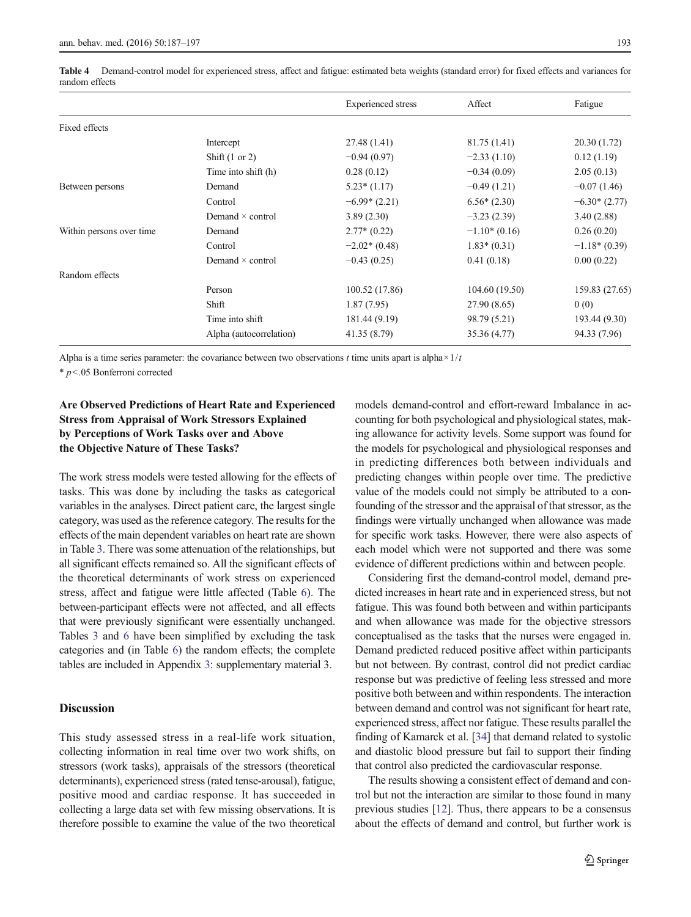|                          |                           | <b>Experienced</b> stress | Affect         | Fatigue        |
|--------------------------|---------------------------|---------------------------|----------------|----------------|
| Fixed effects            |                           |                           |                |                |
|                          | Intercept                 | 27.48 (1.41)              | 81.75 (1.41)   | 20.30(1.72)    |
|                          | Shift $(1 \text{ or } 2)$ | $-0.94(0.97)$             | $-2.33(1.10)$  | 0.12(1.19)     |
|                          | Time into shift (h)       | 0.28(0.12)                | $-0.34(0.09)$  | 2.05(0.13)     |
| Between persons          | Demand                    | $5.23*(1.17)$             | $-0.49(1.21)$  | $-0.07(1.46)$  |
|                          | Control                   | $-6.99*(2.21)$            | $6.56*(2.30)$  | $-6.30*(2.77)$ |
|                          | Demand $\times$ control   | 3.89(2.30)                | $-3.23(2.39)$  | 3.40(2.88)     |
| Within persons over time | Demand                    | $2.77*(0.22)$             | $-1.10*(0.16)$ | 0.26(0.20)     |
|                          | Control                   | $-2.02*(0.48)$            | $1.83*(0.31)$  | $-1.18*(0.39)$ |
|                          | Demand $\times$ control   | $-0.43(0.25)$             | 0.41(0.18)     | 0.00(0.22)     |
| Random effects           |                           |                           |                |                |
|                          | Person                    | 100.52 (17.86)            | 104.60 (19.50) | 159.83 (27.65) |
|                          | Shift                     | 1.87(7.95)                | 27.90 (8.65)   | 0(0)           |
|                          | Time into shift           | 181.44 (9.19)             | 98.79 (5.21)   | 193.44 (9.30)  |
|                          | Alpha (autocorrelation)   | 41.35 (8.79)              | 35.36 (4.77)   | 94.33 (7.96)   |

<span id="page-6-0"></span>Table 4 Demand-control model for experienced stress, affect and fatigue: estimated beta weights (standard error) for fixed effects and variances for random effects

Alpha is a time series parameter: the covariance between two observations t time units apart is alpha $\times$ 1/t

\* p<.05 Bonferroni corrected

# Are Observed Predictions of Heart Rate and Experienced Stress from Appraisal of Work Stressors Explained by Perceptions of Work Tasks over and Above the Objective Nature of These Tasks?

The work stress models were tested allowing for the effects of tasks. This was done by including the tasks as categorical variables in the analyses. Direct patient care, the largest single category, was used as the reference category. The results for the effects of the main dependent variables on heart rate are shown in Table [3](#page-5-0). There was some attenuation of the relationships, but all significant effects remained so. All the significant effects of the theoretical determinants of work stress on experienced stress, affect and fatigue were little affected (Table [6\)](#page-8-0). The between-participant effects were not affected, and all effects that were previously significant were essentially unchanged. Tables [3](#page-5-0) and [6](#page-8-0) have been simplified by excluding the task categories and (in Table [6\)](#page-8-0) the random effects; the complete tables are included in Appendix 3: supplementary material 3.

## Discussion

This study assessed stress in a real-life work situation, collecting information in real time over two work shifts, on stressors (work tasks), appraisals of the stressors (theoretical determinants), experienced stress (rated tense-arousal), fatigue, positive mood and cardiac response. It has succeeded in collecting a large data set with few missing observations. It is therefore possible to examine the value of the two theoretical models demand-control and effort-reward Imbalance in accounting for both psychological and physiological states, making allowance for activity levels. Some support was found for the models for psychological and physiological responses and in predicting differences both between individuals and predicting changes within people over time. The predictive value of the models could not simply be attributed to a confounding of the stressor and the appraisal of that stressor, as the findings were virtually unchanged when allowance was made for specific work tasks. However, there were also aspects of each model which were not supported and there was some evidence of different predictions within and between people.

Considering first the demand-control model, demand predicted increases in heart rate and in experienced stress, but not fatigue. This was found both between and within participants and when allowance was made for the objective stressors conceptualised as the tasks that the nurses were engaged in. Demand predicted reduced positive affect within participants but not between. By contrast, control did not predict cardiac response but was predictive of feeling less stressed and more positive both between and within respondents. The interaction between demand and control was not significant for heart rate, experienced stress, affect nor fatigue. These results parallel the finding of Kamarck et al. [\[34\]](#page-10-0) that demand related to systolic and diastolic blood pressure but fail to support their finding that control also predicted the cardiovascular response.

The results showing a consistent effect of demand and control but not the interaction are similar to those found in many previous studies [[12\]](#page-10-0). Thus, there appears to be a consensus about the effects of demand and control, but further work is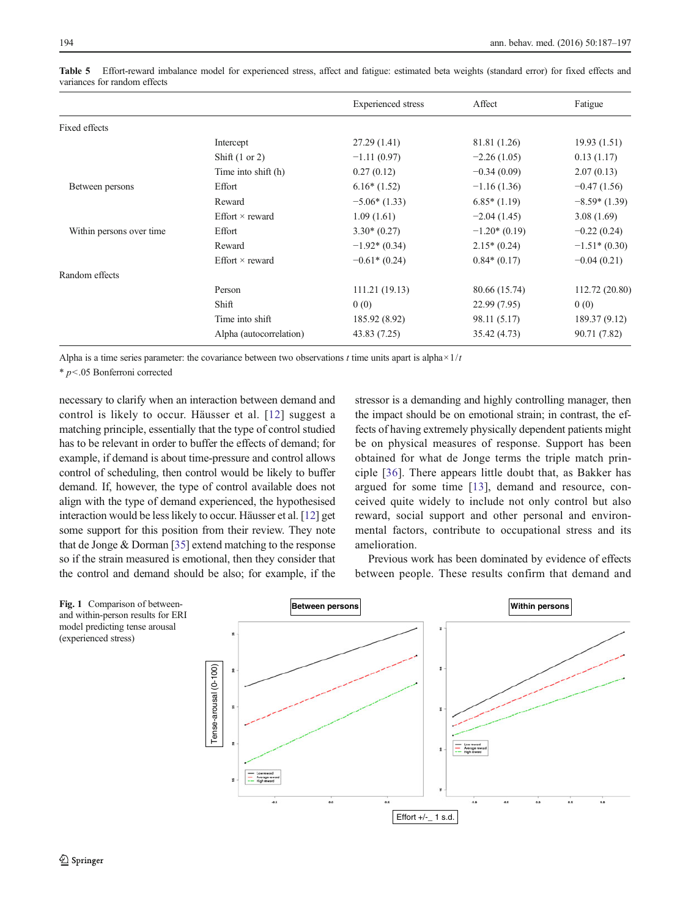|                          |                           | <b>Experienced</b> stress | Affect         | Fatigue        |
|--------------------------|---------------------------|---------------------------|----------------|----------------|
| Fixed effects            |                           |                           |                |                |
|                          | Intercept                 | 27.29(1.41)               | 81.81 (1.26)   | 19.93(1.51)    |
|                          | Shift $(1 \text{ or } 2)$ | $-1.11(0.97)$             | $-2.26(1.05)$  | 0.13(1.17)     |
|                          | Time into shift (h)       | 0.27(0.12)                | $-0.34(0.09)$  | 2.07(0.13)     |
| Between persons          | Effort                    | $6.16*(1.52)$             | $-1.16(1.36)$  | $-0.47(1.56)$  |
|                          | Reward                    | $-5.06*(1.33)$            | $6.85*(1.19)$  | $-8.59*(1.39)$ |
|                          | Effort $\times$ reward    | 1.09(1.61)                | $-2.04(1.45)$  | 3.08(1.69)     |
| Within persons over time | Effort                    | $3.30*(0.27)$             | $-1.20*(0.19)$ | $-0.22(0.24)$  |
|                          | Reward                    | $-1.92*(0.34)$            | $2.15*(0.24)$  | $-1.51*(0.30)$ |
|                          | Effort $\times$ reward    | $-0.61*(0.24)$            | $0.84*(0.17)$  | $-0.04(0.21)$  |
| Random effects           |                           |                           |                |                |
|                          | Person                    | 111.21 (19.13)            | 80.66 (15.74)  | 112.72 (20.80) |
|                          | Shift                     | 0(0)                      | 22.99(7.95)    | 0(0)           |
|                          | Time into shift           | 185.92 (8.92)             | 98.11 (5.17)   | 189.37 (9.12)  |
|                          | Alpha (autocorrelation)   | 43.83 (7.25)              | 35.42 (4.73)   | 90.71 (7.82)   |

<span id="page-7-0"></span>Table 5 Effort-reward imbalance model for experienced stress, affect and fatigue: estimated beta weights (standard error) for fixed effects and variances for random effects

Alpha is a time series parameter: the covariance between two observations t time units apart is alpha $\times$ 1/t

\* p<.05 Bonferroni corrected

necessary to clarify when an interaction between demand and control is likely to occur. Häusser et al. [[12\]](#page-10-0) suggest a matching principle, essentially that the type of control studied has to be relevant in order to buffer the effects of demand; for example, if demand is about time-pressure and control allows control of scheduling, then control would be likely to buffer demand. If, however, the type of control available does not align with the type of demand experienced, the hypothesised interaction would be less likely to occur. Häusser et al. [\[12](#page-10-0)] get some support for this position from their review. They note that de Jonge & Dorman [[35](#page-10-0)] extend matching to the response so if the strain measured is emotional, then they consider that the control and demand should be also; for example, if the stressor is a demanding and highly controlling manager, then the impact should be on emotional strain; in contrast, the effects of having extremely physically dependent patients might be on physical measures of response. Support has been obtained for what de Jonge terms the triple match principle [[36](#page-10-0)]. There appears little doubt that, as Bakker has argued for some time [\[13](#page-10-0)], demand and resource, conceived quite widely to include not only control but also reward, social support and other personal and environmental factors, contribute to occupational stress and its amelioration.

Previous work has been dominated by evidence of effects between people. These results confirm that demand and

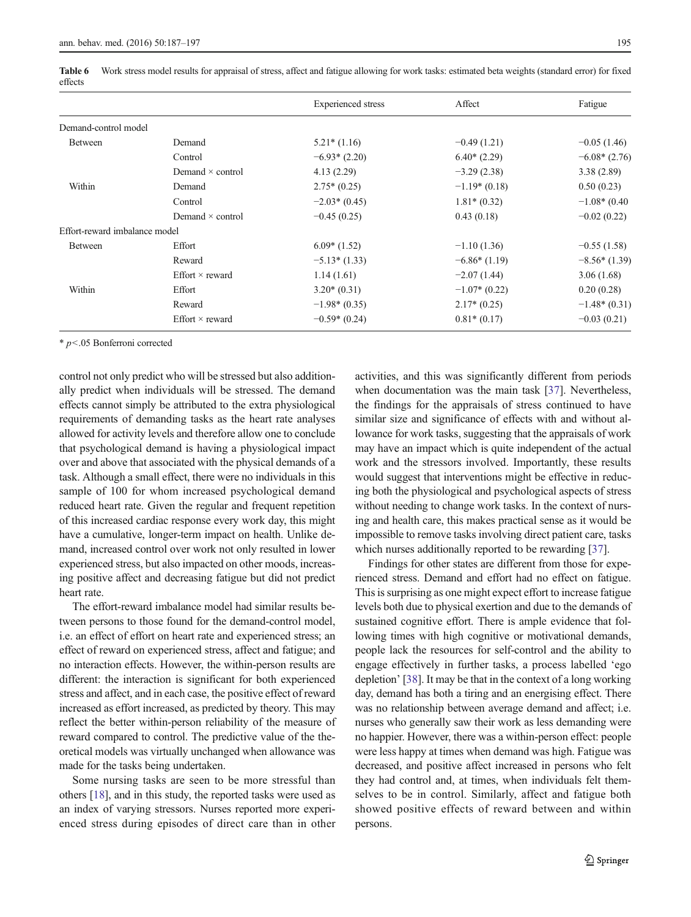|                               |                         | <b>Experienced</b> stress | Affect         | Fatigue        |
|-------------------------------|-------------------------|---------------------------|----------------|----------------|
| Demand-control model          |                         |                           |                |                |
| Between                       | Demand                  | $5.21*(1.16)$             | $-0.49(1.21)$  | $-0.05(1.46)$  |
|                               | Control                 | $-6.93*(2.20)$            | $6.40*(2.29)$  | $-6.08*(2.76)$ |
|                               | Demand $\times$ control | 4.13(2.29)                | $-3.29(2.38)$  | 3.38(2.89)     |
| Within                        | Demand                  | $2.75*(0.25)$             | $-1.19*(0.18)$ | 0.50(0.23)     |
|                               | Control                 | $-2.03*(0.45)$            | $1.81*(0.32)$  | $-1.08*(0.40)$ |
|                               | Demand $\times$ control | $-0.45(0.25)$             | 0.43(0.18)     | $-0.02(0.22)$  |
| Effort-reward imbalance model |                         |                           |                |                |
| Between                       | Effort                  | $6.09*(1.52)$             | $-1.10(1.36)$  | $-0.55(1.58)$  |
|                               | Reward                  | $-5.13*(1.33)$            | $-6.86*(1.19)$ | $-8.56*(1.39)$ |
|                               | Effort $\times$ reward  | 1.14(1.61)                | $-2.07(1.44)$  | 3.06(1.68)     |
| Within                        | Effort                  | $3.20*(0.31)$             | $-1.07*(0.22)$ | 0.20(0.28)     |
|                               | Reward                  | $-1.98*(0.35)$            | $2.17*(0.25)$  | $-1.48*(0.31)$ |
|                               | Effort $\times$ reward  | $-0.59*(0.24)$            | $0.81*(0.17)$  | $-0.03(0.21)$  |

<span id="page-8-0"></span>Table 6 Work stress model results for appraisal of stress, affect and fatigue allowing for work tasks: estimated beta weights (standard error) for fixed effects

\* p<.05 Bonferroni corrected

control not only predict who will be stressed but also additionally predict when individuals will be stressed. The demand effects cannot simply be attributed to the extra physiological requirements of demanding tasks as the heart rate analyses allowed for activity levels and therefore allow one to conclude that psychological demand is having a physiological impact over and above that associated with the physical demands of a task. Although a small effect, there were no individuals in this sample of 100 for whom increased psychological demand reduced heart rate. Given the regular and frequent repetition of this increased cardiac response every work day, this might have a cumulative, longer-term impact on health. Unlike demand, increased control over work not only resulted in lower experienced stress, but also impacted on other moods, increasing positive affect and decreasing fatigue but did not predict heart rate.

The effort-reward imbalance model had similar results between persons to those found for the demand-control model, i.e. an effect of effort on heart rate and experienced stress; an effect of reward on experienced stress, affect and fatigue; and no interaction effects. However, the within-person results are different: the interaction is significant for both experienced stress and affect, and in each case, the positive effect of reward increased as effort increased, as predicted by theory. This may reflect the better within-person reliability of the measure of reward compared to control. The predictive value of the theoretical models was virtually unchanged when allowance was made for the tasks being undertaken.

Some nursing tasks are seen to be more stressful than others [\[18](#page-10-0)], and in this study, the reported tasks were used as an index of varying stressors. Nurses reported more experienced stress during episodes of direct care than in other activities, and this was significantly different from periods when documentation was the main task [[37](#page-10-0)]. Nevertheless, the findings for the appraisals of stress continued to have similar size and significance of effects with and without allowance for work tasks, suggesting that the appraisals of work may have an impact which is quite independent of the actual work and the stressors involved. Importantly, these results would suggest that interventions might be effective in reducing both the physiological and psychological aspects of stress without needing to change work tasks. In the context of nursing and health care, this makes practical sense as it would be impossible to remove tasks involving direct patient care, tasks which nurses additionally reported to be rewarding [\[37](#page-10-0)].

Findings for other states are different from those for experienced stress. Demand and effort had no effect on fatigue. This is surprising as one might expect effort to increase fatigue levels both due to physical exertion and due to the demands of sustained cognitive effort. There is ample evidence that following times with high cognitive or motivational demands, people lack the resources for self-control and the ability to engage effectively in further tasks, a process labelled 'ego depletion' [\[38](#page-10-0)]. It may be that in the context of a long working day, demand has both a tiring and an energising effect. There was no relationship between average demand and affect; i.e. nurses who generally saw their work as less demanding were no happier. However, there was a within-person effect: people were less happy at times when demand was high. Fatigue was decreased, and positive affect increased in persons who felt they had control and, at times, when individuals felt themselves to be in control. Similarly, affect and fatigue both showed positive effects of reward between and within persons.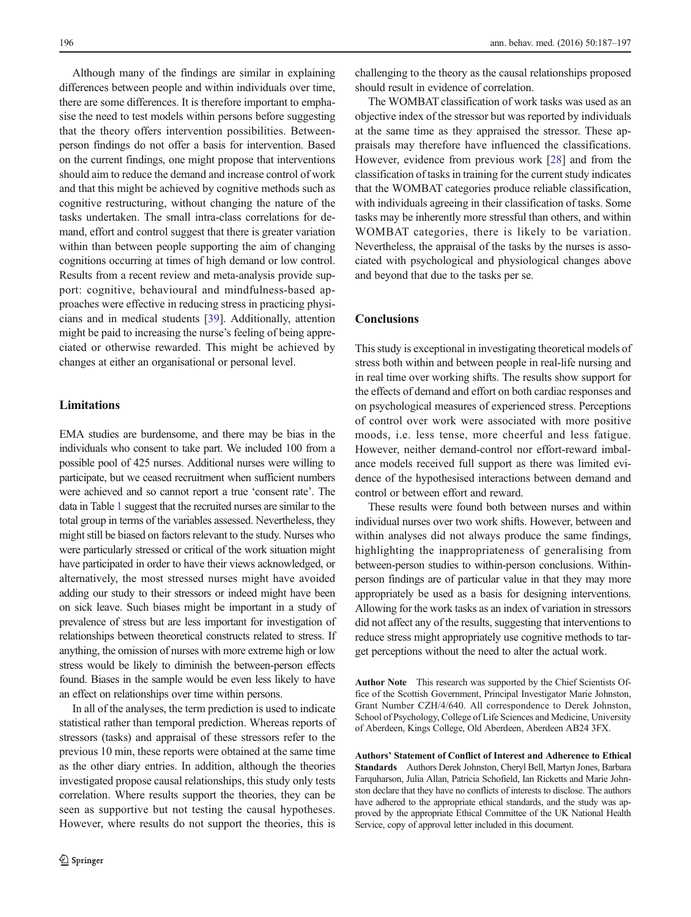Although many of the findings are similar in explaining differences between people and within individuals over time, there are some differences. It is therefore important to emphasise the need to test models within persons before suggesting that the theory offers intervention possibilities. Betweenperson findings do not offer a basis for intervention. Based on the current findings, one might propose that interventions should aim to reduce the demand and increase control of work and that this might be achieved by cognitive methods such as cognitive restructuring, without changing the nature of the tasks undertaken. The small intra-class correlations for demand, effort and control suggest that there is greater variation within than between people supporting the aim of changing cognitions occurring at times of high demand or low control. Results from a recent review and meta-analysis provide support: cognitive, behavioural and mindfulness-based approaches were effective in reducing stress in practicing physicians and in medical students [\[39](#page-10-0)]. Additionally, attention might be paid to increasing the nurse's feeling of being appreciated or otherwise rewarded. This might be achieved by changes at either an organisational or personal level.

## Limitations

EMA studies are burdensome, and there may be bias in the individuals who consent to take part. We included 100 from a possible pool of 425 nurses. Additional nurses were willing to participate, but we ceased recruitment when sufficient numbers were achieved and so cannot report a true 'consent rate'. The data in Table [1](#page-4-0) suggest that the recruited nurses are similar to the total group in terms of the variables assessed. Nevertheless, they might still be biased on factors relevant to the study. Nurses who were particularly stressed or critical of the work situation might have participated in order to have their views acknowledged, or alternatively, the most stressed nurses might have avoided adding our study to their stressors or indeed might have been on sick leave. Such biases might be important in a study of prevalence of stress but are less important for investigation of relationships between theoretical constructs related to stress. If anything, the omission of nurses with more extreme high or low stress would be likely to diminish the between-person effects found. Biases in the sample would be even less likely to have an effect on relationships over time within persons.

In all of the analyses, the term prediction is used to indicate statistical rather than temporal prediction. Whereas reports of stressors (tasks) and appraisal of these stressors refer to the previous 10 min, these reports were obtained at the same time as the other diary entries. In addition, although the theories investigated propose causal relationships, this study only tests correlation. Where results support the theories, they can be seen as supportive but not testing the causal hypotheses. However, where results do not support the theories, this is

challenging to the theory as the causal relationships proposed should result in evidence of correlation.

The WOMBAT classification of work tasks was used as an objective index of the stressor but was reported by individuals at the same time as they appraised the stressor. These appraisals may therefore have influenced the classifications. However, evidence from previous work [[28](#page-10-0)] and from the classification of tasks in training for the current study indicates that the WOMBAT categories produce reliable classification, with individuals agreeing in their classification of tasks. Some tasks may be inherently more stressful than others, and within WOMBAT categories, there is likely to be variation. Nevertheless, the appraisal of the tasks by the nurses is associated with psychological and physiological changes above and beyond that due to the tasks per se.

## **Conclusions**

This study is exceptional in investigating theoretical models of stress both within and between people in real-life nursing and in real time over working shifts. The results show support for the effects of demand and effort on both cardiac responses and on psychological measures of experienced stress. Perceptions of control over work were associated with more positive moods, i.e. less tense, more cheerful and less fatigue. However, neither demand-control nor effort-reward imbalance models received full support as there was limited evidence of the hypothesised interactions between demand and control or between effort and reward.

These results were found both between nurses and within individual nurses over two work shifts. However, between and within analyses did not always produce the same findings, highlighting the inappropriateness of generalising from between-person studies to within-person conclusions. Withinperson findings are of particular value in that they may more appropriately be used as a basis for designing interventions. Allowing for the work tasks as an index of variation in stressors did not affect any of the results, suggesting that interventions to reduce stress might appropriately use cognitive methods to target perceptions without the need to alter the actual work.

Author Note This research was supported by the Chief Scientists Office of the Scottish Government, Principal Investigator Marie Johnston, Grant Number CZH/4/640. All correspondence to Derek Johnston, School of Psychology, College of Life Sciences and Medicine, University of Aberdeen, Kings College, Old Aberdeen, Aberdeen AB24 3FX.

Authors' Statement of Conflict of Interest and Adherence to Ethical Standards Authors Derek Johnston, Cheryl Bell, Martyn Jones, Barbara Farquharson, Julia Allan, Patricia Schofield, Ian Ricketts and Marie Johnston declare that they have no conflicts of interests to disclose. The authors have adhered to the appropriate ethical standards, and the study was approved by the appropriate Ethical Committee of the UK National Health Service, copy of approval letter included in this document.